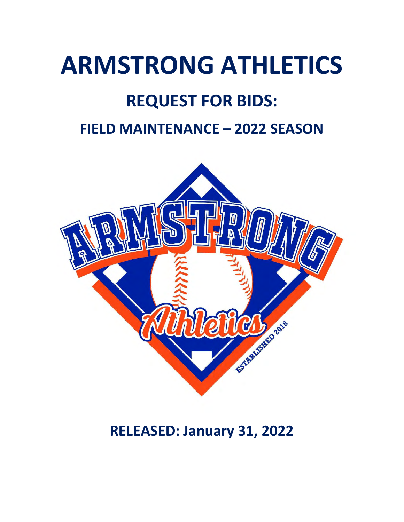# **ARMSTRONG ATHLETICS**

# **REQUEST FOR BIDS:**

### **FIELD MAINTENANCE – 2022 SEASON**



### **RELEASED: January 31, 2022**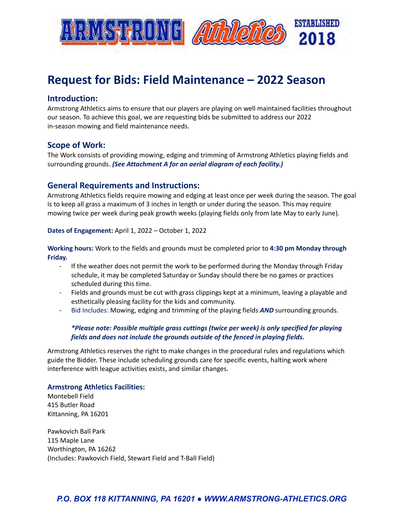

### **Request for Bids: Field Maintenance – 2022 Season**

#### **Introduction:**

Armstrong Athletics aims to ensure that our players are playing on well maintained facilities throughout our season. To achieve this goal, we are requesting bids be submitted to address our 2022 in-season mowing and field maintenance needs.

#### **Scope of Work:**

The Work consists of providing mowing, edging and trimming of Armstrong Athletics playing fields and surrounding grounds. *(See Attachment A for an aerial diagram of each facility.)*

#### **General Requirements and Instructions:**

Armstrong Athletics fields require mowing and edging at least once per week during the season. The goal is to keep all grass a maximum of 3 inches in length or under during the season. This may require mowing twice per week during peak growth weeks (playing fields only from late May to early June).

#### **Dates of Engagement:** April 1, 2022 – October 1, 2022

**Working hours:** Work to the fields and grounds must be completed prior to **4:30 pm Monday through Friday.**

- If the weather does not permit the work to be performed during the Monday through Friday schedule, it may be completed Saturday or Sunday should there be no games or practices scheduled during this time.
- Fields and grounds must be cut with grass clippings kept at a minimum, leaving a playable and esthetically pleasing facility for the kids and community.
- Bid Includes: Mowing, edging and trimming of the playing fields *AND* surrounding grounds.

#### *\*Please note: Possible multiple grass cuttings (twice per week) is only specified for playing fields and does not include the grounds outside of the fenced in playing fields.*

Armstrong Athletics reserves the right to make changes in the procedural rules and regulations which guide the Bidder. These include scheduling grounds care for specific events, halting work where interference with league activities exists, and similar changes.

#### **Armstrong Athletics Facilities:**

Montebell Field 415 Butler Road Kittanning, PA 16201

Pawkovich Ball Park 115 Maple Lane Worthington, PA 16262 (Includes: Pawkovich Field, Stewart Field and T-Ball Field)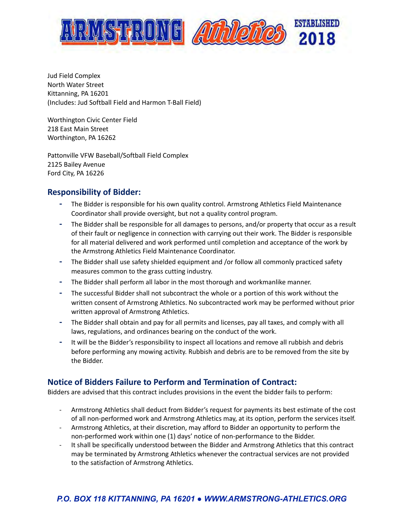

Jud Field Complex North Water Street Kittanning, PA 16201 (Includes: Jud Softball Field and Harmon T-Ball Field)

Worthington Civic Center Field 218 East Main Street Worthington, PA 16262

Pattonville VFW Baseball/Softball Field Complex 2125 Bailey Avenue Ford City, PA 16226

### **Responsibility of Bidder:**

- **-** The Bidder is responsible for his own quality control. Armstrong Athletics Field Maintenance Coordinator shall provide oversight, but not a quality control program.
- **-** The Bidder shall be responsible for all damages to persons, and/or property that occur as a result of their fault or negligence in connection with carrying out their work. The Bidder is responsible for all material delivered and work performed until completion and acceptance of the work by the Armstrong Athletics Field Maintenance Coordinator.
- **-** The Bidder shall use safety shielded equipment and /or follow all commonly practiced safety measures common to the grass cutting industry.
- **-** The Bidder shall perform all labor in the most thorough and workmanlike manner.
- **-** The successful Bidder shall not subcontract the whole or a portion of this work without the written consent of Armstrong Athletics. No subcontracted work may be performed without prior written approval of Armstrong Athletics.
- **-** The Bidder shall obtain and pay for all permits and licenses, pay all taxes, and comply with all laws, regulations, and ordinances bearing on the conduct of the work.
- **-** It will be the Bidder's responsibility to inspect all locations and remove all rubbish and debris before performing any mowing activity. Rubbish and debris are to be removed from the site by the Bidder.

### **Notice of Bidders Failure to Perform and Termination of Contract:**

Bidders are advised that this contract includes provisions in the event the bidder fails to perform:

- Armstrong Athletics shall deduct from Bidder's request for payments its best estimate of the cost of all non-performed work and Armstrong Athletics may, at its option, perform the services itself.
- Armstrong Athletics, at their discretion, may afford to Bidder an opportunity to perform the non-performed work within one (1) days' notice of non-performance to the Bidder.
- It shall be specifically understood between the Bidder and Armstrong Athletics that this contract may be terminated by Armstrong Athletics whenever the contractual services are not provided to the satisfaction of Armstrong Athletics.

### *P.O. BOX 118 KITTANNING, PA 16201 ● WWW.ARMSTRONG-ATHLETICS.ORG*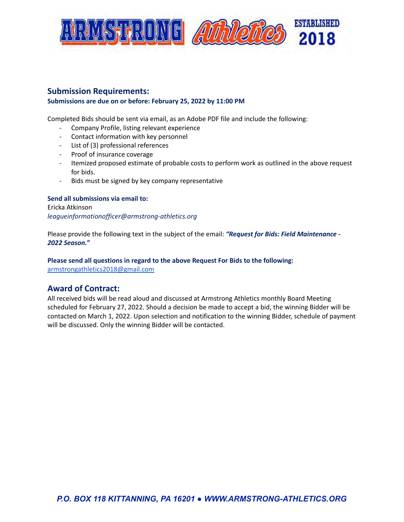

### **Submission Requirements:**

#### **Submissions are due on or before: February 25, 2022 by 11:00 PM**

Completed Bids should be sent via email, as an Adobe PDF file and include the following:

- Company Profile, listing relevant experience
- Contact information with key personnel
- List of (3) professional references
- Proof of insurance coverage
- Itemized proposed estimate of probable costs to perform work as outlined in the above request for bids.
- Bids must be signed by key company representative

#### **Send all submissions via email to:** Ericka Atkinson

*leagueinformationofficer@armstrong-athletics.org*

Please provide the following text in the subject of the email: *"Request for Bids: Field Maintenance - 2022 Season."*

**Please send all questions in regard to the above Request For Bids to the following:** [armstrongathletics2018@gmail.com](mailto:armstrongathletics2018@gmail.com)

### **Award of Contract:**

All received bids will be read aloud and discussed at Armstrong Athletics monthly Board Meeting scheduled for February 27, 2022. Should a decision be made to accept a bid, the winning Bidder will be contacted on March 1, 2022. Upon selection and notification to the winning Bidder, schedule of payment will be discussed. Only the winning Bidder will be contacted.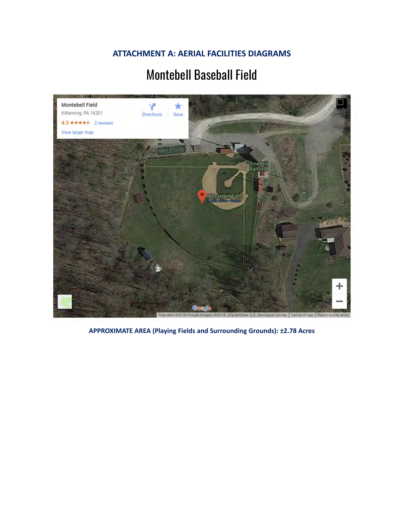**ATTACHMENT A: AERIAL FACILITIES DIAGRAMS**

### Montebell Baseball Field



**APPROXIMATE AREA (Playing Fields and Surrounding Grounds): ±2.78 Acres**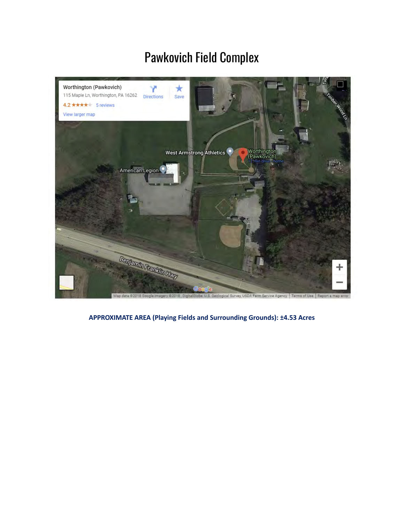# Pawkovich Field Complex



**APPROXIMATE AREA (Playing Fields and Surrounding Grounds): ±4.53 Acres**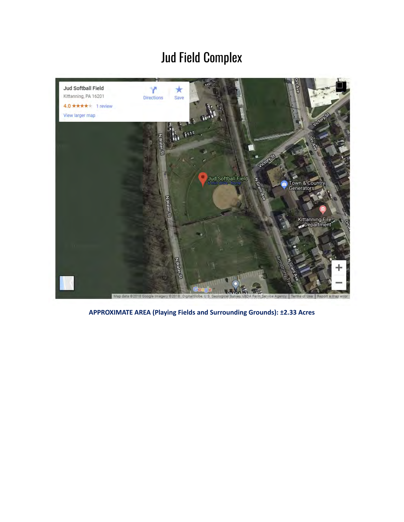# Jud Field Complex



**APPROXIMATE AREA (Playing Fields and Surrounding Grounds): ±2.33 Acres**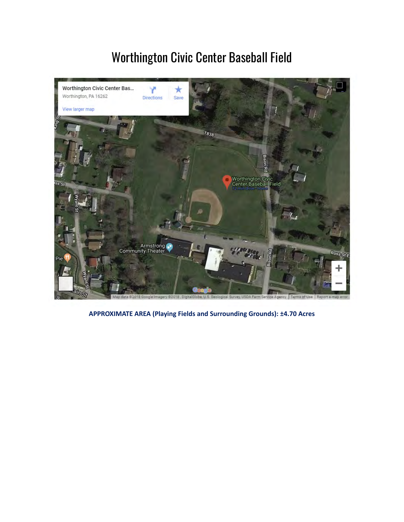# Worthington Civic Center Baseball Field



**APPROXIMATE AREA (Playing Fields and Surrounding Grounds): ±4.70 Acres**